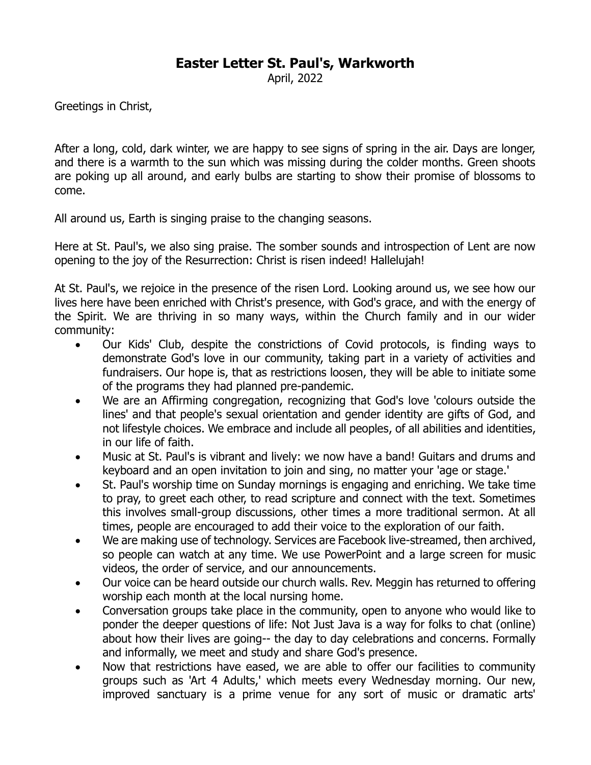## **Easter Letter St. Paul's, Warkworth**

April, 2022

Greetings in Christ,

After a long, cold, dark winter, we are happy to see signs of spring in the air. Days are longer, and there is a warmth to the sun which was missing during the colder months. Green shoots are poking up all around, and early bulbs are starting to show their promise of blossoms to come.

All around us, Earth is singing praise to the changing seasons.

Here at St. Paul's, we also sing praise. The somber sounds and introspection of Lent are now opening to the joy of the Resurrection: Christ is risen indeed! Hallelujah!

At St. Paul's, we rejoice in the presence of the risen Lord. Looking around us, we see how our lives here have been enriched with Christ's presence, with God's grace, and with the energy of the Spirit. We are thriving in so many ways, within the Church family and in our wider community:

- Our Kids' Club, despite the constrictions of Covid protocols, is finding ways to demonstrate God's love in our community, taking part in a variety of activities and fundraisers. Our hope is, that as restrictions loosen, they will be able to initiate some of the programs they had planned pre-pandemic.
- We are an Affirming congregation, recognizing that God's love 'colours outside the lines' and that people's sexual orientation and gender identity are gifts of God, and not lifestyle choices. We embrace and include all peoples, of all abilities and identities, in our life of faith.
- Music at St. Paul's is vibrant and lively: we now have a band! Guitars and drums and keyboard and an open invitation to join and sing, no matter your 'age or stage.'
- St. Paul's worship time on Sunday mornings is engaging and enriching. We take time to pray, to greet each other, to read scripture and connect with the text. Sometimes this involves small-group discussions, other times a more traditional sermon. At all times, people are encouraged to add their voice to the exploration of our faith.
- We are making use of technology. Services are Facebook live-streamed, then archived, so people can watch at any time. We use PowerPoint and a large screen for music videos, the order of service, and our announcements.
- Our voice can be heard outside our church walls. Rev. Meggin has returned to offering worship each month at the local nursing home.
- Conversation groups take place in the community, open to anyone who would like to ponder the deeper questions of life: Not Just Java is a way for folks to chat (online) about how their lives are going-- the day to day celebrations and concerns. Formally and informally, we meet and study and share God's presence.
- Now that restrictions have eased, we are able to offer our facilities to community groups such as 'Art 4 Adults,' which meets every Wednesday morning. Our new, improved sanctuary is a prime venue for any sort of music or dramatic arts'